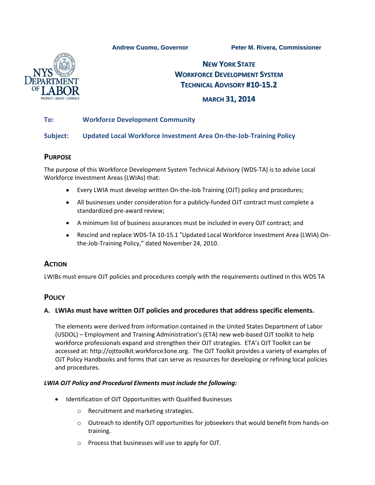**Andrew Cuomo, Governor Peter M. Rivera, Commissioner**



# **NEW YORK STATE WORKFORCE DEVELOPMENT SYSTEM TECHNICAL ADVISORY #10-15.2**

# **MARCH 31, 2014**

## **To: Workforce Development Community**

### **Subject: Updated Local Workforce Investment Area On-the-Job-Training Policy**

### **PURPOSE**

The purpose of this Workforce Development System Technical Advisory (WDS-TA) is to advise Local Workforce Investment Areas (LWIAs) that:

- Every LWIA must develop written On-the-Job Training (OJT) policy and procedures;
- All businesses under consideration for a publicly-funded OJT contract must complete a  $\bullet$ standardized pre-award review;
- A minimum list of business assurances must be included in every OJT contract; and
- Rescind and replace WDS-TA 10-15.1 "Updated Local Workforce Investment Area (LWIA) Onthe-Job-Training Policy," dated November 24, 2010.

# **ACTION**

LWIBs must ensure OJT policies and procedures comply with the requirements outlined in this WDS TA

# **POLICY**

### **A. LWIAs must have written OJT policies and procedures that address specific elements.**

The elements were derived from information contained in the United States Department of Labor (USDOL) – Employment and Training Administration's (ETA) new web-based OJT toolkit to help workforce professionals expand and strengthen their OJT strategies. ETA's OJT Toolkit can be accessed at: [http://ojttoolkit.workforce3one.org.](http://ojttoolkit.workforce3one.org/) The OJT Toolkit provides a variety of examples of OJT Policy Handbooks and forms that can serve as resources for developing or refining local policies and procedures.

#### *LWIA OJT Policy and Procedural Elements must include the following:*

- Identification of OJT Opportunities with Qualified Businesses
	- o Recruitment and marketing strategies.
	- $\circ$  Outreach to identify OJT opportunities for jobseekers that would benefit from hands-on training.
	- o Process that businesses will use to apply for OJT.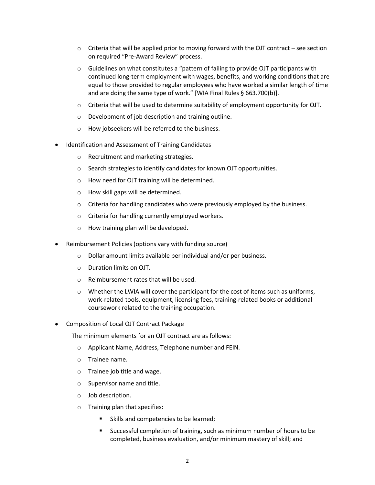- $\circ$  Criteria that will be applied prior to moving forward with the OJT contract see section on required "Pre-Award Review" process.
- o Guidelines on what constitutes a "pattern of failing to provide OJT participants with continued long-term employment with wages, benefits, and working conditions that are equal to those provided to regular employees who have worked a similar length of time and are doing the same type of work." [WIA Final Rules § 663.700(b)].
- $\circ$  Criteria that will be used to determine suitability of employment opportunity for OJT.
- o Development of job description and training outline.
- o How jobseekers will be referred to the business.
- Identification and Assessment of Training Candidates
	- o Recruitment and marketing strategies.
	- o Search strategies to identify candidates for known OJT opportunities.
	- o How need for OJT training will be determined.
	- o How skill gaps will be determined.
	- o Criteria for handling candidates who were previously employed by the business.
	- o Criteria for handling currently employed workers.
	- o How training plan will be developed.
- Reimbursement Policies (options vary with funding source)
	- o Dollar amount limits available per individual and/or per business.
	- o Duration limits on OJT.
	- o Reimbursement rates that will be used.
	- $\circ$  Whether the LWIA will cover the participant for the cost of items such as uniforms, work-related tools, equipment, licensing fees, training-related books or additional coursework related to the training occupation.
- Composition of Local OJT Contract Package

The minimum elements for an OJT contract are as follows:

- o Applicant Name, Address, Telephone number and FEIN.
- o Trainee name.
- o Trainee job title and wage.
- o Supervisor name and title.
- o Job description.
- o Training plan that specifies:
	- Skills and competencies to be learned;
	- Successful completion of training, such as minimum number of hours to be completed, business evaluation, and/or minimum mastery of skill; and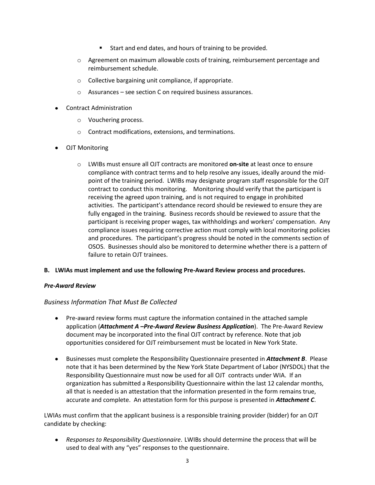- Start and end dates, and hours of training to be provided.
- o Agreement on maximum allowable costs of training, reimbursement percentage and reimbursement schedule.
- o Collective bargaining unit compliance, if appropriate.
- o Assurances see section C on required business assurances.
- Contract Administration
	- o Vouchering process.
	- o Contract modifications, extensions, and terminations.
- OJT Monitoring
	- o LWIBs must ensure all OJT contracts are monitored **on-site** at least once to ensure compliance with contract terms and to help resolve any issues, ideally around the midpoint of the training period. LWIBs may designate program staff responsible for the OJT contract to conduct this monitoring. Monitoring should verify that the participant is receiving the agreed upon training, and is not required to engage in prohibited activities. The participant's attendance record should be reviewed to ensure they are fully engaged in the training. Business records should be reviewed to assure that the participant is receiving proper wages, tax withholdings and workers' compensation. Any compliance issues requiring corrective action must comply with local monitoring policies and procedures. The participant's progress should be noted in the comments section of OSOS. Businesses should also be monitored to determine whether there is a pattern of failure to retain OJT trainees.

#### **B. LWIAs must implement and use the following Pre-Award Review process and procedures.**

#### *Pre-Award Review*

#### *Business Information That Must Be Collected*

- Pre-award review forms must capture the information contained in the attached sample application (*Attachment A –Pre-Award Review Business Application*). The Pre-Award Review document may be incorporated into the final OJT contract by reference. Note that job opportunities considered for OJT reimbursement must be located in New York State.
- **Businesses must complete the Responsibility Questionnaire presented in** *Attachment B.* **Please** note that it has been determined by the New York State Department of Labor (NYSDOL) that the Responsibility Questionnaire must now be used for all OJT contracts under WIA. If an organization has submitted a Responsibility Questionnaire within the last 12 calendar months, all that is needed is an attestation that the information presented in the form remains true, accurate and complete. An attestation form for this purpose is presented in *Attachment C*.

LWIAs must confirm that the applicant business is a responsible training provider (bidder) for an OJT candidate by checking:

*Responses to Responsibility Questionnaire*. LWIBs should determine the process that will be used to deal with any "yes" responses to the questionnaire.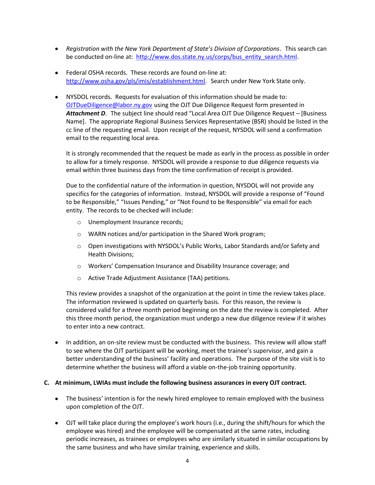- *Registration with the New York Department of State's Division of Corporations*. This search can be conducted on-line at: [http://www.dos.state.ny.us/corps/bus\\_entity\\_search.html.](http://www.dos.state.ny.us/corps/bus_entity_search.html)
- Federal OSHA records. These records are found on-line at: <http://www.osha.gov/pls/imis/establishment.html>. Search under New York State only.
- NYSDOL records. Requests for evaluation of this information should be made to: [OJTDueDiligence@labor.ny.gov](mailto:OJTDueDiligence@labor.ny.gov) using the OJT Due Diligence Request form presented in *Attachment D*. The subject line should read "Local Area OJT Due Diligence Request – [Business Name]. The appropriate Regional Business Services Representative (BSR) should be listed in the cc line of the requesting email. Upon receipt of the request, NYSDOL will send a confirmation email to the requesting local area.

It is strongly recommended that the request be made as early in the process as possible in order to allow for a timely response. NYSDOL will provide a response to due diligence requests via email within three business days from the time confirmation of receipt is provided.

Due to the confidential nature of the information in question, NYSDOL will not provide any specifics for the categories of information. Instead, NYSDOL will provide a response of "Found to be Responsible," "Issues Pending," or "Not Found to be Responsible" via email for each entity. The records to be checked will include:

- o Unemployment Insurance records;
- o WARN notices and/or participation in the Shared Work program;
- $\circ$  Open investigations with NYSDOL's Public Works, Labor Standards and/or Safety and Health Divisions;
- o Workers' Compensation Insurance and Disability Insurance coverage; and
- o Active Trade Adjustment Assistance (TAA) petitions.

This review provides a snapshot of the organization at the point in time the review takes place. The information reviewed is updated on quarterly basis. For this reason, the review is considered valid for a three month period beginning on the date the review is completed. After this three month period, the organization must undergo a new due diligence review if it wishes to enter into a new contract.

• In addition, an on-site review must be conducted with the business. This review will allow staff to see where the OJT participant will be working, meet the trainee's supervisor, and gain a better understanding of the business' facility and operations. The purpose of the site visit is to determine whether the business will afford a viable on-the-job training opportunity.

#### **C. At minimum, LWIAs must include the following business assurances in every OJT contract.**

- The business' intention is for the newly hired employee to remain employed with the business upon completion of the OJT.
- OJT will take place during the employee's work hours (i.e., during the shift/hours for which the employee was hired) and the employee will be compensated at the same rates, including periodic increases, as trainees or employees who are similarly situated in similar occupations by the same business and who have similar training, experience and skills.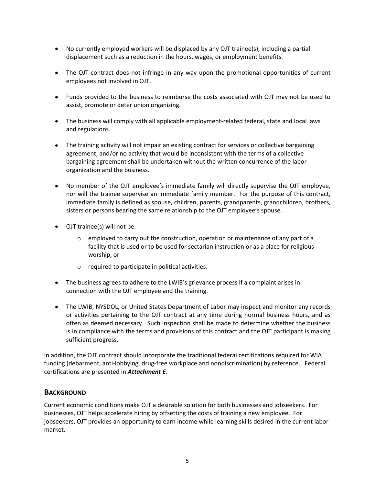- No currently employed workers will be displaced by any OJT trainee(s), including a partial displacement such as a reduction in the hours, wages, or employment benefits.
- The OJT contract does not infringe in any way upon the promotional opportunities of current employees not involved in OJT.
- Funds provided to the business to reimburse the costs associated with OJT may not be used to assist, promote or deter union organizing.
- The business will comply with all applicable employment-related federal, state and local laws and regulations.
- The training activity will not impair an existing contract for services or collective bargaining agreement, and/or no activity that would be inconsistent with the terms of a collective bargaining agreement shall be undertaken without the written concurrence of the labor organization and the business.
- No member of the OJT employee's immediate family will directly supervise the OJT employee, nor will the trainee supervise an immediate family member. For the purpose of this contract, immediate family is defined as spouse, children, parents, grandparents, grandchildren, brothers, sisters or persons bearing the same relationship to the OJT employee's spouse.
- OJT trainee(s) will not be:
	- $\circ$  employed to carry out the construction, operation or maintenance of any part of a facility that is used or to be used for sectarian instruction or as a place for religious worship, or
	- o required to participate in political activities.
- The business agrees to adhere to the LWIB's grievance process if a complaint arises in connection with the OJT employee and the training.
- The LWIB, NYSDOL, or United States Department of Labor may inspect and monitor any records or activities pertaining to the OJT contract at any time during normal business hours, and as often as deemed necessary. Such inspection shall be made to determine whether the business is in compliance with the terms and provisions of this contract and the OJT participant is making sufficient progress.

In addition, the OJT contract should incorporate the traditional federal certifications required for WIA funding (debarment, anti-lobbying, drug-free workplace and nondiscrimination) by reference. Federal certifications are presented in *Attachment E*.

### **BACKGROUND**

Current economic conditions make OJT a desirable solution for both businesses and jobseekers. For businesses, OJT helps accelerate hiring by offsetting the costs of training a new employee. For jobseekers, OJT provides an opportunity to earn income while learning skills desired in the current labor market.